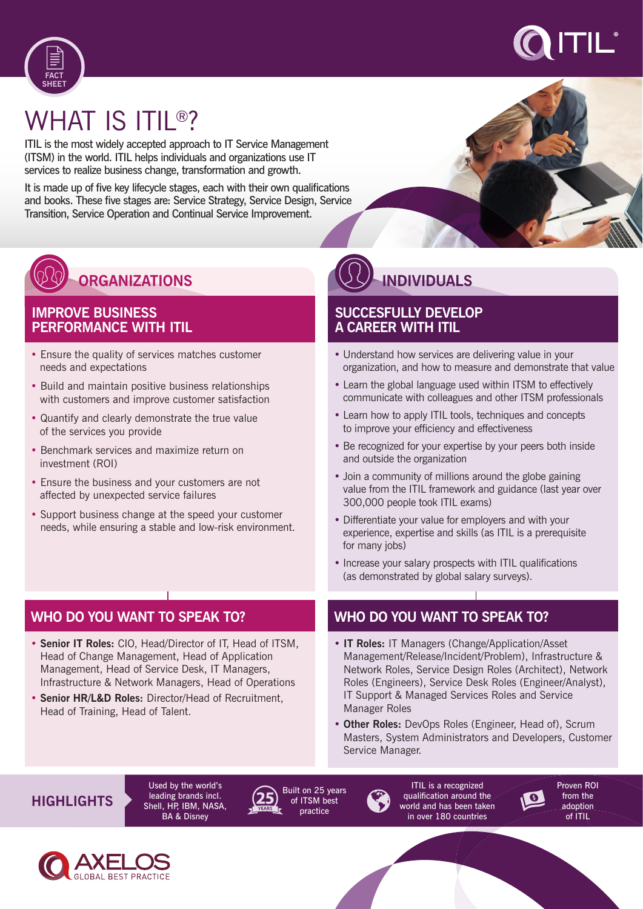



# WHAT IS ITIL®?

ITIL is the most widely accepted approach to IT Service Management (ITSM) in the world. ITIL helps individuals and organizations use IT services to realize business change, transformation and growth.

It is made up of five key lifecycle stages, each with their own qualifications and books. These five stages are: Service Strategy, Service Design, Service Transition, Service Operation and Continual Service Improvement.



#### **IMPROVE BUSINESS PERFORMANCE WITH ITIL**

- Ensure the quality of services matches customer needs and expectations
- Build and maintain positive business relationships with customers and improve customer satisfaction
- Quantify and clearly demonstrate the true value of the services you provide
- Benchmark services and maximize return on investment (ROI)
- Ensure the business and your customers are not affected by unexpected service failures
- Support business change at the speed your customer needs, while ensuring a stable and low-risk environment.

# **WHO DO YOU WANT TO SPEAK TO?**

- **Senior IT Roles:** CIO, Head/Director of IT, Head of ITSM, Head of Change Management, Head of Application Management, Head of Service Desk, IT Managers, Infrastructure & Network Managers, Head of Operations
- **Senior HR/L&D Roles:** Director/Head of Recruitment, Head of Training, Head of Talent.

# **INDIVIDUALS**

#### **SUCCESFULLY DEVELOP A CAREER WITH ITIL**

- Understand how services are delivering value in your organization, and how to measure and demonstrate that value
- Learn the global language used within ITSM to effectively communicate with colleagues and other ITSM professionals
- Learn how to apply ITIL tools, techniques and concepts to improve your efficiency and effectiveness
- Be recognized for your expertise by your peers both inside and outside the organization
- Join a community of millions around the globe gaining value from the ITIL framework and guidance (last year over 300,000 people took ITIL exams)
- Differentiate your value for employers and with your experience, expertise and skills (as ITIL is a prerequisite for many jobs)
- Increase your salary prospects with ITIL qualifications (as demonstrated by global salary surveys).

### **WHO DO YOU WANT TO SPEAK TO?**

- **IT Roles:** IT Managers (Change/Application/Asset Management/Release/Incident/Problem), Infrastructure & Network Roles, Service Design Roles (Architect), Network Roles (Engineers), Service Desk Roles (Engineer/Analyst), IT Support & Managed Services Roles and Service Manager Roles
- **Other Roles:** DevOps Roles (Engineer, Head of), Scrum Masters, System Administrators and Developers, Customer Service Manager.

# **HIGHLIGHTS**

Used by the world's leading brands incl. Shell, HP, IBM, NASA, BA & Disney



Built on 25 years of ITSM best practice



qualification around the world and has been taken in over 180 countries

Proven ROI from the adoption of ITIL

 $\sqrt{6}$